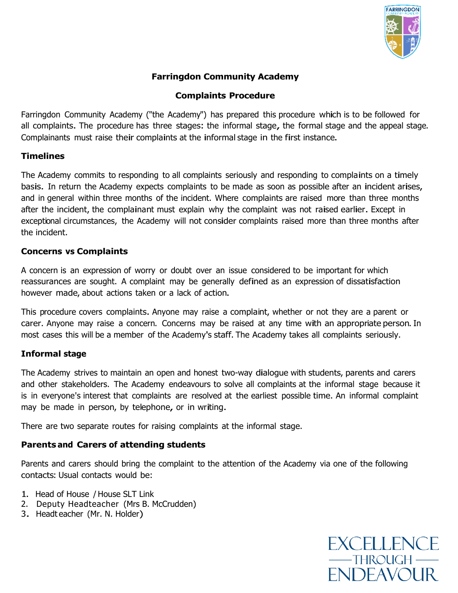

# **Farringdon Community Academy**

# **Complaints Procedure**

Farringdon Community Academy ("the Academy") has prepared this procedure which is to be followed for all complaints. The procedure has three stages: the informal stage, the formal stage and the appeal stage. Complainants must raise their complaints at the informal stage in the first instance.

## **Timelines**

The Academy commits to responding to all complaints seriously and responding to complaints on <sup>a</sup> timely basis. In return the Academy expects complaints to be made as soon as possible after an incident arises, and in general within three months of the incident. Where complaints are raised more than three months after the incident, the complainant must explain why the complaint was not raised earlier. Except in exceptional circumstances, the Academy will not consider complaints raised more than three months after the incident.

## **Concerns vs Complaints**

A concern is an expression of worry or doubt over an issue considered to be important for which reassurances are sought. <sup>A</sup> complaint may be generally defined as an expression of dissatisfaction however made, about actions taken or a lack of action.

This procedure covers complaints. Anyone may raise a complaint, whether or not they are a parent or carer. Anyone may raise <sup>a</sup> concern. Concerns may be raised at any time with an appropriate person. In most cases this will be a member of the Academy's staff. The Academy takes all complaints seriously.

# **Informal stage**

The Academy strives to maintain an open and honest two-way dialogue with students, parents and carers and other stakeholders. The Academy endeavours to solve all complaints at the informal stage because it is in everyone's interest that complaints are resolved at the earliest possible time. An informal complaint may be made in person, by telephone, or in writing.

There are two separate routes for raising complaints at the informal stage.

# **Parents and Carers of attending students**

Parents and carers should bring the complaint to the attention of the Academy via one of the following contacts: Usual contacts would be:

- 1. Head of House / House SLT Link
- 2. Deputy Headteacher (Mrs B. McCrudden)
- 3. Headt eacher (Mr. N. Holder)

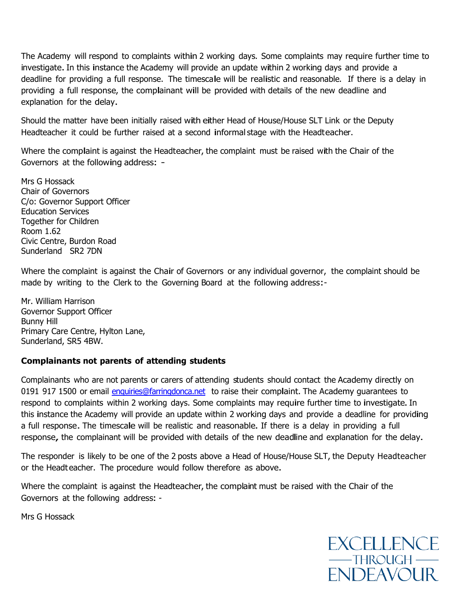The Academy will respond to complaints within <sup>2</sup> working days. Some complaints may require further time to investigate. In this instance the Academy will provide an update within 2 working days and provide a deadline for providing <sup>a</sup> full response. The timescale will be realistic and reasonable. If there is <sup>a</sup> delay in providing <sup>a</sup> full response, the complainant will be provided with details of the new deadline and explanation for the delay.

Should the matter have been initially raised with either Head of House/House SLT Link or the Deputy Headteacher it could be further raised at <sup>a</sup> second informal stage with the Headteacher.

Where the complaint is against the Headteacher, the complaint must be raised with the Chair of the Governors at the following address: -

Mrs G Hossack Chair of Governors C/o: Governor Support Officer Education Services Together for Children Room 1.62 Civic Centre, Burdon Road Sunderland SR2 7DN

Where the complaint is against the Chair of Governors or any individual governor, the complaint should be made by writing to the Clerk to the Governing Board at the following address:-

Mr. William Harrison Governor Support Officer Bunny Hill Primary Care Centre, Hylton Lane, Sunderland, SR5 4BW.

### **Complainants not parents of attending students**

Complainants who are not parents or carers of attending students should contact the Academy directly on 0191 917 1500 or email [enquiries@farringdonca.net](mailto:enquiries@farringdonca.net) to raise their complaint. The Academy guarantees to respond to complaints within 2 working days. Some complaints may require further time to investigate. In this instance the Academy will provide an update within <sup>2</sup> working days and provide <sup>a</sup> deadline for providing <sup>a</sup> full response. The timescale will be realistic and reasonable. If there is <sup>a</sup> delay in providing <sup>a</sup> full response, the complainant will be provided with details of the new deadline and explanation for the delay.

The responder is likely to be one of the 2 posts above a Head of House/House SLT, the Deputy Headteacher or the Headt eacher. The procedure would follow therefore as above.

Where the complaint is against the Headteacher, the complaint must be raised with the Chair of the Governors at the following address: -

Mrs G Hossack

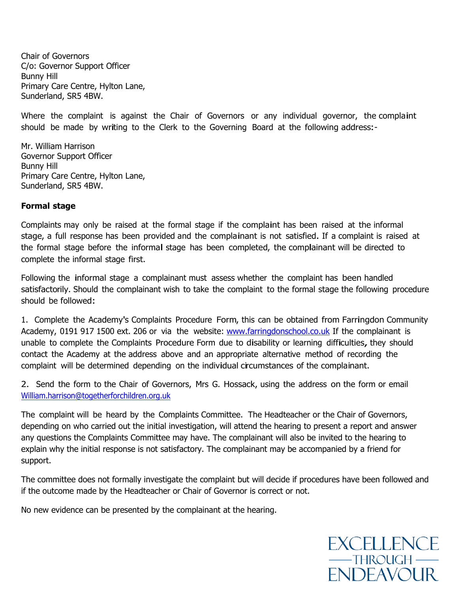Chair of Governors C/o: Governor Support Officer Bunny Hill Primary Care Centre, Hylton Lane, Sunderland, SR5 4BW.

Where the complaint is against the Chair of Governors or any individual governor, the complaint should be made by writing to the Clerk to the Governing Board at the following address:-

Mr. William Harrison Governor Support Officer Bunny Hill Primary Care Centre, Hylton Lane, Sunderland, SR5 4BW.

#### **Formal stage**

Complaints may only be raised at the formal stage if the complaint has been raised at the informal stage, <sup>a</sup> full response has been provided and the complainant is not satisfied. If a complaint is raised at the formal stage before the informal stage has been completed, the complainant will be directed to complete the informal stage first.

Following the informal stage <sup>a</sup> complainant must assess whether the complaint has been handled satisfactorily. Should the complainant wish to take the complaint to the formal stage the following procedure should be followed:

1. Complete the Academy's Complaints Procedure Form, this can be obtained from Farringdon Community Academy, 0191 917 1500 ext. 206 or via the website: [www.farringdonschool.co.uk](http://www.farringdonschool.co.uk/) If the complainant is unable to complete the Complaints Procedure Form due to disability or learning difficulties, they should contact the Academy at the address above and an appropriate alternative method of recording the complaint will be determined depending on the individual circumstances of the complainant.

2. Send the form to the Chair of Governors, Mrs G. Hossack, using the address on the form or email [William.harrison@togetherforchildren.org.uk](mailto:William.harrison@togetherforchildren.org.uk)

The complaint will be heard by the Complaints Committee. The Headteacher or the Chair of Governors, depending on who carried out the initial investigation, will attend the hearing to present a report and answer any questions the Complaints Committee may have. The complainant will also be invited to the hearing to explain why the initial response is not satisfactory. The complainant may be accompanied by a friend for support.

The committee does not formally investigate the complaint but will decide if procedures have been followed and if the outcome made by the Headteacher or Chair of Governor is correct or not.

No new evidence can be presented by the complainant at the hearing.

**EXCELLENCE**  $-$ THROUGH $-$ **ENDEAVOUR**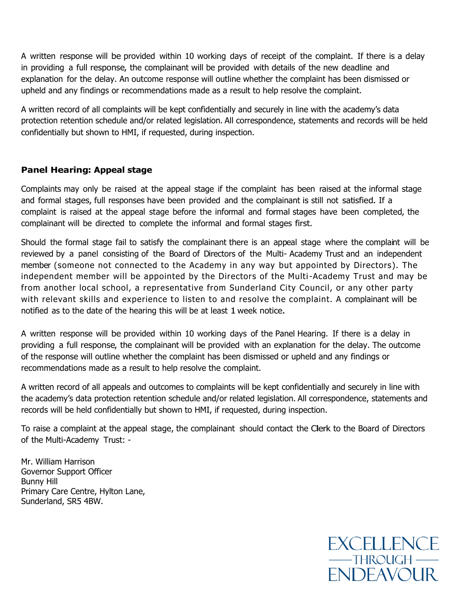A written response will be provided within 10 working days of receipt of the complaint. If there is a delay in providing a full response, the complainant will be provided with details of the new deadline and explanation for the delay. An outcome response will outline whether the complaint has been dismissed or upheld and any findings or recommendations made as a result to help resolve the complaint.

A written record of all complaints will be kept confidentially and securely in line with the academy's data protection retention schedule and/or related legislation. All correspondence, statements and records will be held confidentially but shown to HMI, if requested, during inspection.

## **Panel Hearing: Appeal stage**

Complaints may only be raised at the appeal stage if the complaint has been raised at the informal stage and formal stages, full responses have been provided and the complainant is still not satisfied. If a complaint is raised at the appeal stage before the informal and formal stages have been completed, the complainant will be directed to complete the informal and formal stages first.

Should the formal stage fail to satisfy the complainant there is an appeal stage where the complaint will be reviewed by a panel consisting of the Board of Directors of the Multi- Academy Trust and an independent member (someone not connected to the Academy in any way but appointed by Directors). The independent member will be appointed by the Directors of the Multi-Academy Trust and may be from another local school, a representative from Sunderland City Council, or any other party with relevant skills and experience to listen to and resolve the complaint. A complainant will be notified as to the date of the hearing this will be at least 1 week notice.

A written response will be provided within 10 working days of the Panel Hearing. If there is a delay in providing a full response, the complainant will be provided with an explanation for the delay. The outcome of the response will outline whether the complaint has been dismissed or upheld and any findings or recommendations made as a result to help resolve the complaint.

A written record of all appeals and outcomes to complaints will be kept confidentially and securely in line with the academy's data protection retention schedule and/or related legislation. All correspondence, statements and records will be held confidentially but shown to HMI, if requested, during inspection.

To raise <sup>a</sup> complaint at the appeal stage, the complainant should contact the Clerk to the Board of Directors of the Multi-Academy Trust: -

Mr. William Harrison Governor Support Officer Bunny Hill Primary Care Centre, Hylton Lane, Sunderland, SR5 4BW.

> **EXCELLENCE**  $-$ THROUGH $-$ **ENDEAVOUR**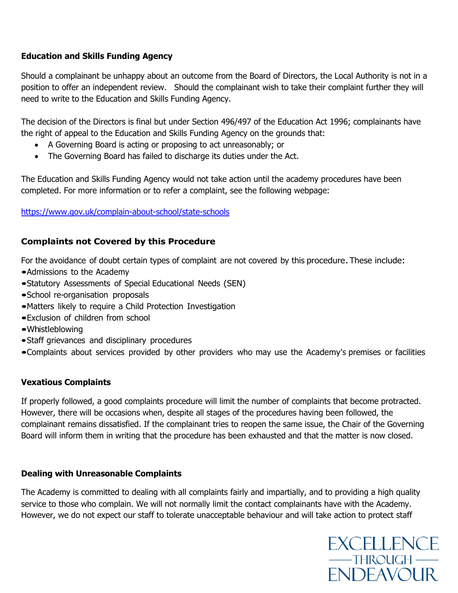## **Education and Skills Funding Agency**

Should a complainant be unhappy about an outcome from the Board of Directors, the Local Authority is not in a position to offer an independent review. Should the complainant wish to take their complaint further they will need to write to the Education and Skills Funding Agency.

The decision of the Directors is final but under Section 496/497 of the Education Act 1996; complainants have the right of appeal to the Education and Skills Funding Agency on the grounds that:

- A Governing Board is acting or proposing to act unreasonably; or
- The Governing Board has failed to discharge its duties under the Act.

The Education and Skills Funding Agency would not take action until the academy procedures have been completed. For more information or to refer a complaint, see the following webpage:

<https://www.gov.uk/complain-about-school/state-schools>

## **Complaints not Covered by this Procedure**

For the avoidance of doubt certain types of complaint are not covered by this procedure. These include:

- •Admissions to the Academy
- •Statutory Assessments of Special Educational Needs (SEN)
- •School re-organisation proposals
- •Matters likely to require <sup>a</sup> Child Protection Investigation
- •Exclusion of children from school
- •Whistleblowing
- •Staff grievances and disciplinary procedures
- •Complaints about services provided by other providers who may use the Academy's premises or facilities

### **Vexatious Complaints**

If properly followed, a good complaints procedure will limit the number of complaints that become protracted. However, there will be occasions when, despite all stages of the procedures having been followed, the complainant remains dissatisfied. If the complainant tries to reopen the same issue, the Chair of the Governing Board will inform them in writing that the procedure has been exhausted and that the matter is now closed.

### **Dealing with Unreasonable Complaints**

The Academy is committed to dealing with all complaints fairly and impartially, and to providing a high quality service to those who complain. We will not normally limit the contact complainants have with the Academy. However, we do not expect our staff to tolerate unacceptable behaviour and will take action to protect staff